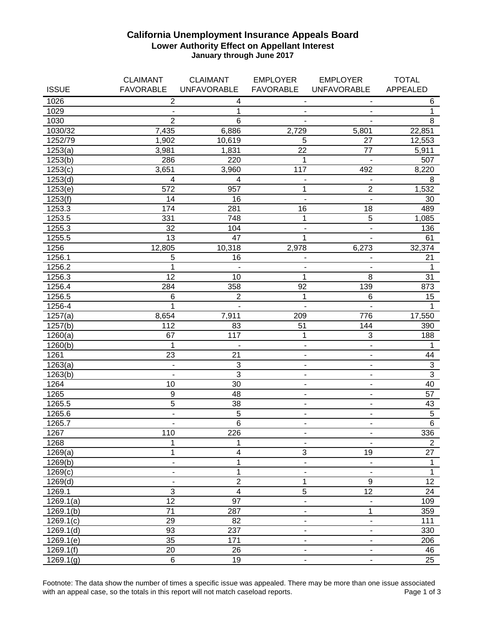## **California Unemployment Insurance Appeals Board Lower Authority Effect on Appellant Interest January through June 2017**

|                        | <b>CLAIMANT</b>          | <b>CLAIMANT</b>          | <b>EMPLOYER</b>              | <b>EMPLOYER</b>              | <b>TOTAL</b>    |
|------------------------|--------------------------|--------------------------|------------------------------|------------------------------|-----------------|
| <b>ISSUE</b>           | <b>FAVORABLE</b>         | <b>UNFAVORABLE</b>       | <b>FAVORABLE</b>             | <b>UNFAVORABLE</b>           | APPEALED        |
| 1026                   | $\overline{2}$           | 4                        | $\qquad \qquad \blacksquare$ | $\overline{\phantom{a}}$     | 6               |
| 1029                   | $\overline{\phantom{a}}$ | 1                        | $\blacksquare$               | $\blacksquare$               | 1               |
| 1030                   | $\overline{2}$           | 6                        |                              |                              | $\overline{8}$  |
| 1030/32                | 7,435                    | 6,886                    | 2,729                        | 5,801                        | 22,851          |
| 1252/79                | 1,902                    | 10,619                   | 5                            | 27                           | 12,553          |
| 1253(a)                | 3,981                    | 1,831                    | 22                           | 77                           | 5,911           |
| 1253(b)                | 286                      | 220                      | 1                            | $\blacksquare$               | 507             |
| 1253(c)                | 3,651                    | 3,960                    | 117                          | 492                          | 8,220           |
| $\overline{1253}$ (d)  | $\overline{\mathbf{4}}$  | $\overline{4}$           |                              |                              | 8               |
| 1253(e)                | 572                      | 957                      | 1                            | $\mathbf 2$                  | 1,532           |
| 1253(f)                | 14                       | 16                       | $\overline{\phantom{a}}$     |                              | 30              |
| 1253.3                 | 174                      | 281                      | 16                           | 18                           | 489             |
| 1253.5                 | 331                      | 748                      | 1                            | 5                            | 1,085           |
| 1255.3                 | 32                       | 104                      |                              | $\overline{\phantom{a}}$     | 136             |
| 1255.5                 | 13                       | 47                       | 1                            |                              | 61              |
| 1256                   | 12,805                   | 10,318                   | 2,978                        | 6,273                        | 32,374          |
| 1256.1                 | 5                        | 16                       | $\overline{\phantom{0}}$     | $\qquad \qquad \blacksquare$ | 21              |
| 1256.2                 | 1                        | $\overline{\phantom{a}}$ | $\overline{\phantom{0}}$     | $\overline{\phantom{a}}$     | 1               |
| 1256.3                 | 12                       | 10                       | 1                            | 8                            | 31              |
| 1256.4                 | 284                      | 358                      | 92                           | 139                          | 873             |
| 1256.5                 | 6                        | $\overline{2}$           | 1                            | 6                            | 15              |
| 1256-4                 | 1                        | $\blacksquare$           | L.                           | L.                           |                 |
| 1257(a)                | 8,654                    | 7,911                    | 209                          | 776                          | 17,550          |
| 1257(b)                | 112                      | 83                       | 51                           | 144                          | 390             |
| 1260(a)                | 67                       | 117                      | 1                            | 3                            | 188             |
| 1260(b)                | 1                        |                          | $\blacksquare$               | $\overline{\phantom{a}}$     | 1               |
| 1261                   | 23                       | 21                       | $\blacksquare$               | $\overline{\phantom{a}}$     | 44              |
| 1263(a)                | $\overline{a}$           | $\mathbf{3}$             | ä,                           | $\blacksquare$               | $\overline{3}$  |
| 1263(b)                |                          | $\overline{3}$           | $\overline{\phantom{0}}$     | $\overline{\phantom{a}}$     | $\overline{3}$  |
| 1264                   | 10                       | 30                       | ä,                           | $\overline{\phantom{a}}$     | 40              |
| 1265                   | $\boldsymbol{9}$         | 48                       | $\qquad \qquad \blacksquare$ | $\blacksquare$               | 57              |
| 1265.5                 | $\overline{5}$           | 38                       | ۰                            | $\overline{\phantom{a}}$     | 43              |
| 1265.6                 | $\blacksquare$           | 5                        | ۰                            | $\overline{\phantom{a}}$     | $\overline{5}$  |
| 1265.7                 | $\blacksquare$           | $\,6$                    | $\blacksquare$               | $\overline{\phantom{a}}$     | $\overline{6}$  |
| 1267                   | 110                      | 226                      | -                            | $\overline{\phantom{a}}$     | 336             |
| 1268                   | 1                        | 1                        | $\blacksquare$               | $\sim$                       | $\overline{2}$  |
| 1269(a)                | 1                        | 4                        | 3                            | 19                           | 27              |
| 1269(b)                | $\overline{\phantom{a}}$ | 1                        | ä,                           | $\overline{\phantom{a}}$     | $\mathbf{1}$    |
| 1269(c)                | $\blacksquare$           | 1                        | $\overline{a}$               | ä,                           | 1               |
| 1269(d)                | $\overline{\phantom{a}}$ | $\overline{2}$           | 1                            | $\overline{9}$               | $\overline{12}$ |
| 1269.1                 | 3                        | $\overline{4}$           | $\overline{5}$               | $\overline{12}$              | $\overline{24}$ |
| 1269.1(a)              | $\overline{12}$          | 97                       | $\overline{\phantom{m}}$     |                              | 109             |
| 1269.1(b)              | 71                       | 287                      | $\blacksquare$               | 1                            | 359             |
| 1269.1(c)              | $\overline{29}$          | 82                       | $\overline{\phantom{a}}$     | $\blacksquare$               | 111             |
| 1269.1(d)              | 93                       | 237                      | $\overline{\phantom{a}}$     | $\overline{\phantom{a}}$     | 330             |
| 1269.1(e)              | $\overline{35}$          | 171                      | ۰                            | $\overline{\phantom{a}}$     | 206             |
| 1269.1(f)              | $\overline{20}$          | 26                       | $\overline{\phantom{0}}$     | ۰                            | 46              |
| $\overline{1}269.1(g)$ | $\,6$                    | 19                       | $\blacksquare$               | $\blacksquare$               | 25              |

Footnote: The data show the number of times a specific issue was appealed. There may be more than one issue associated with an appeal case, so the totals in this report will not match caseload reports. with an appeal case, so the totals in this report will not match caseload reports.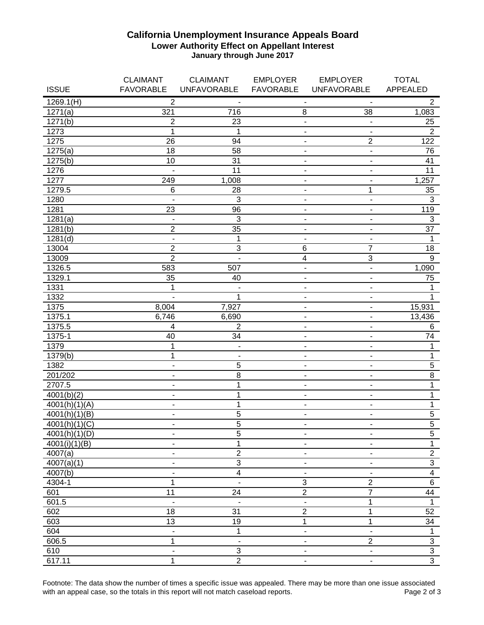## **California Unemployment Insurance Appeals Board Lower Authority Effect on Appellant Interest January through June 2017**

|                            | <b>CLAIMANT</b>          | <b>CLAIMANT</b>           | <b>EMPLOYER</b>              | <b>EMPLOYER</b>              | <b>TOTAL</b>   |
|----------------------------|--------------------------|---------------------------|------------------------------|------------------------------|----------------|
| <b>ISSUE</b>               | <b>FAVORABLE</b>         | <b>UNFAVORABLE</b>        | <b>FAVORABLE</b>             | <b>UNFAVORABLE</b>           | APPEALED       |
| 1269.1(H)                  | $\overline{2}$           |                           |                              |                              | $\overline{2}$ |
| 1271(a)                    | 321                      | 716                       | 8                            | 38                           | 1,083          |
| 1271(b)                    | $\overline{c}$           | 23                        | $\blacksquare$               |                              | 25             |
| 1273                       | 1                        | 1                         | $\overline{\phantom{a}}$     |                              | $\overline{2}$ |
| 1275                       | 26                       | 94                        | $\overline{\phantom{a}}$     | $\boldsymbol{2}$             | 122            |
| 1275(a)                    | 18                       | 58                        | $\overline{\phantom{a}}$     | $\overline{\phantom{a}}$     | 76             |
| 1275(b)                    | 10                       | 31                        | $\overline{\phantom{a}}$     |                              | 41             |
| 1276                       |                          | 11                        | ÷                            |                              | 11             |
| 1277                       | 249                      | 1,008                     | $\blacksquare$               | ۰                            | 1,257          |
| 1279.5                     | $\,6$                    | 28                        | $\qquad \qquad \blacksquare$ | 1                            | 35             |
| 1280                       | $\blacksquare$           | 3                         | $\blacksquare$               | $\blacksquare$               | $\overline{3}$ |
| 1281                       | 23                       | 96                        | $\blacksquare$               | ۰                            | 119            |
| $\sqrt{128}1(a)$           | $\blacksquare$           | 3                         | $\blacksquare$               | ۰                            | $\overline{3}$ |
| 1281(b)                    | $\boldsymbol{2}$         | 35                        | $\blacksquare$               | $\overline{\phantom{a}}$     | 37             |
| 1281(d)                    | $\Box$                   | 1                         | $\overline{\phantom{a}}$     | $\blacksquare$               | 1              |
| 13004                      | $\overline{2}$           | $\ensuremath{\mathsf{3}}$ | 6                            | $\overline{7}$               | 18             |
| 13009                      | $\overline{2}$           | $\overline{a}$            | $\overline{\mathbf{4}}$      | $\overline{3}$               | $\overline{9}$ |
| 1326.5                     | 583                      | 507                       | $\blacksquare$               | $\overline{\phantom{a}}$     | 1,090          |
| 1329.1                     | 35                       | 40                        | $\blacksquare$               | -                            | 75             |
| 1331                       | 1                        |                           | $\blacksquare$               | -                            | 1              |
| 1332                       |                          | 1                         | $\overline{\phantom{a}}$     | ٠                            | 1              |
| 1375                       | 8,004                    | 7,927                     | $\blacksquare$               | -                            | 15,931         |
| 1375.1                     | 6,746                    | 6,690                     | $\blacksquare$               | ä,                           | 13,436         |
| 1375.5                     | 4                        | $\overline{2}$            | $\blacksquare$               |                              | 6              |
| 1375-1                     | 40                       | 34                        | $\overline{\phantom{a}}$     |                              | 74             |
| 1379                       | 1                        | $\blacksquare$            | $\overline{\phantom{a}}$     | $\qquad \qquad \blacksquare$ | 1              |
| 1379(b)                    | 1                        | $\overline{\phantom{0}}$  | $\overline{\phantom{a}}$     | $\overline{\phantom{0}}$     | 1              |
| 1382                       | $\overline{\phantom{a}}$ | 5                         | $\overline{\phantom{a}}$     | ۰                            | $\overline{5}$ |
| 201/202                    | $\overline{\phantom{a}}$ | 8                         | $\overline{\phantom{a}}$     | $\blacksquare$               | $\overline{8}$ |
| 2707.5                     | $\blacksquare$           | 1                         | $\blacksquare$               | $\blacksquare$               | 1              |
| $\sqrt{4001(b)(2)}$        | $\blacksquare$           | 1                         | $\blacksquare$               | -                            | 1              |
| $\overline{4001(h)}(1)(A)$ | $\blacksquare$           | 1                         | $\overline{\phantom{a}}$     | -                            | 1              |
| 4001(h)(1)(B)              |                          | 5                         |                              |                              | $\,$ 5 $\,$    |
| 4001(h)(1)(C)              | $\overline{\phantom{a}}$ | 5                         | $\blacksquare$               | $\blacksquare$               | $\overline{5}$ |
| 4001(h)(1)(D)              |                          | 5                         |                              |                              | 5              |
| $\sqrt{4001(i)(1)}$ (B)    |                          | 1                         |                              |                              | 1              |
| 4007(a)                    |                          | $\overline{2}$            |                              | -                            | $\overline{2}$ |
| 4007(a)(1)                 | $\blacksquare$           | $\overline{3}$            | $\blacksquare$               | ٠                            | $\overline{3}$ |
| 4007(b)                    |                          | $\overline{\mathbf{4}}$   |                              |                              | $\overline{4}$ |
| 4304-1                     | 1                        |                           | 3                            | $\overline{\mathbf{c}}$      | 6              |
| 601                        | $\overline{11}$          | 24                        | $\overline{2}$               | $\overline{7}$               | 44             |
| 601.5                      |                          |                           |                              | 1                            | 1              |
| 602                        | 18                       | 31                        | $\overline{2}$               | 1                            | 52             |
| 603                        | 13                       | 19                        | $\mathbf{1}$                 | 1                            | 34             |
| 604                        | $\blacksquare$           | 1                         | $\blacksquare$               | ٠                            | 1              |
| 606.5                      | 1                        | $\blacksquare$            | $\overline{\phantom{a}}$     | $\overline{c}$               | $\mathbf{c}$   |
| 610                        | $\blacksquare$           | $\sqrt{3}$                | $\blacksquare$               | $\overline{\phantom{a}}$     | $\frac{3}{3}$  |
| 617.11                     | $\mathbf 1$              | $\overline{2}$            | $\blacksquare$               | $\blacksquare$               |                |

Footnote: The data show the number of times a specific issue was appealed. There may be more than one issue associated<br>Page 2 of 3 with an appeal case, so the totals in this report will not match caseload reports.